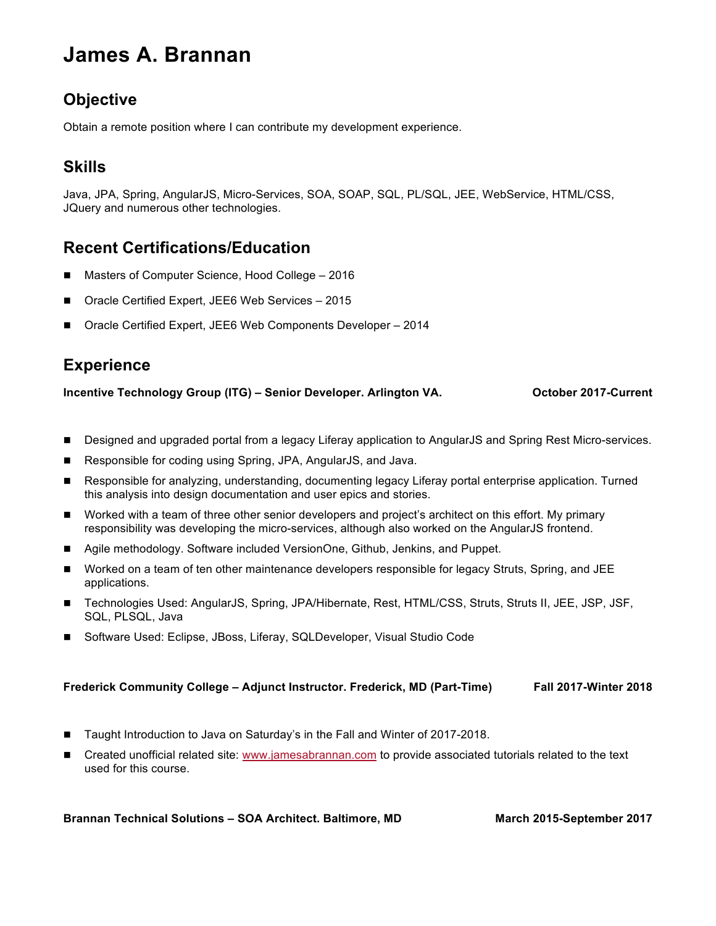# **James A. Brannan**

# **Objective**

Obtain a remote position where I can contribute my development experience.

# **Skills**

Java, JPA, Spring, AngularJS, Micro-Services, SOA, SOAP, SQL, PL/SQL, JEE, WebService, HTML/CSS, JQuery and numerous other technologies.

# **Recent Certifications/Education**

- ! Masters of Computer Science, Hood College 2016
- ! Oracle Certified Expert, JEE6 Web Services 2015
- ! Oracle Certified Expert, JEE6 Web Components Developer 2014

# **Experience**

**Incentive Technology Group (ITG) – Senior Developer. Arlington VA. Case Corrent Current** 

- ! Designed and upgraded portal from a legacy Liferay application to AngularJS and Spring Rest Micro-services.
- ! Responsible for coding using Spring, JPA, AngularJS, and Java.
- ! Responsible for analyzing, understanding, documenting legacy Liferay portal enterprise application. Turned this analysis into design documentation and user epics and stories.
- Worked with a team of three other senior developers and project's architect on this effort. My primary responsibility was developing the micro-services, although also worked on the AngularJS frontend.
- ! Agile methodology. Software included VersionOne, Github, Jenkins, and Puppet.
- ! Worked on a team of ten other maintenance developers responsible for legacy Struts, Spring, and JEE applications.
- ! Technologies Used: AngularJS, Spring, JPA/Hibernate, Rest, HTML/CSS, Struts, Struts II, JEE, JSP, JSF, SQL, PLSQL, Java
- Software Used: Eclipse, JBoss, Liferay, SQLDeveloper, Visual Studio Code

#### **Frederick Community College – Adjunct Instructor. Frederick, MD (Part-Time) Fall 2017-Winter 2018**

- ! Taught Introduction to Java on Saturday's in the Fall and Winter of 2017-2018.
- ! Created unofficial related site: www.jamesabrannan.com to provide associated tutorials related to the text used for this course.

#### **Brannan Technical Solutions – SOA Architect. Baltimore, MD March 2015-September 2017**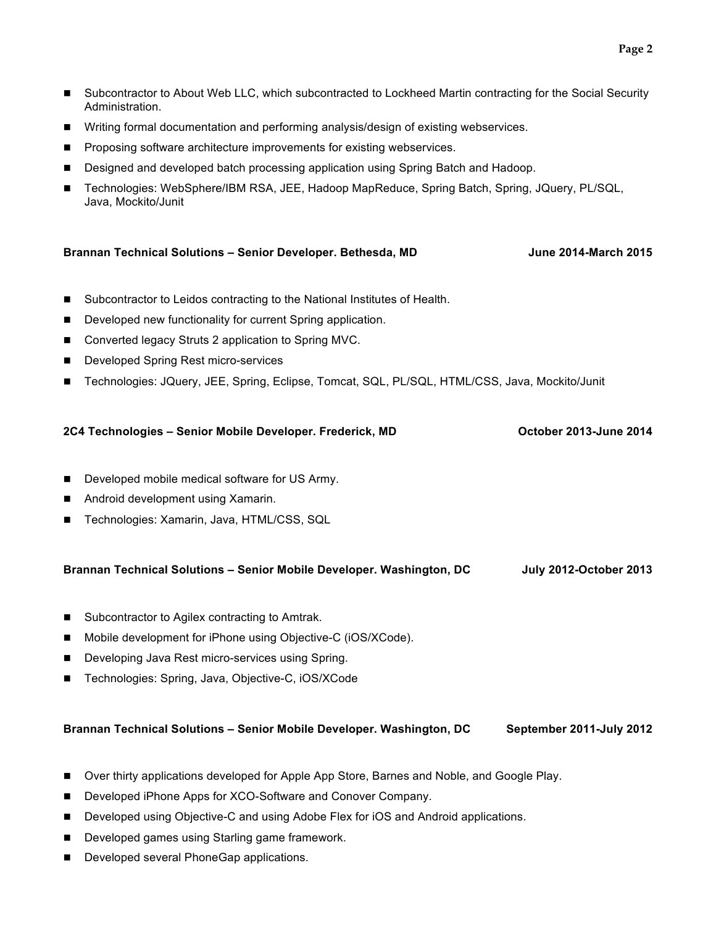- Subcontractor to About Web LLC, which subcontracted to Lockheed Martin contracting for the Social Security Administration.
- **I** Writing formal documentation and performing analysis/design of existing webservices.
- ! Proposing software architecture improvements for existing webservices.

Developed games using Starling game framework.

**Developed several PhoneGap applications.** 

- ! Designed and developed batch processing application using Spring Batch and Hadoop.
- ! Technologies: WebSphere/IBM RSA, JEE, Hadoop MapReduce, Spring Batch, Spring, JQuery, PL/SQL, Java, Mockito/Junit

| Brannan Technical Solutions - Senior Developer. Bethesda, MD |                                                                                                | <b>June 2014-March 2015</b>   |
|--------------------------------------------------------------|------------------------------------------------------------------------------------------------|-------------------------------|
| $\blacksquare$                                               | Subcontractor to Leidos contracting to the National Institutes of Health.                      |                               |
| ■                                                            | Developed new functionality for current Spring application.                                    |                               |
| п                                                            | Converted legacy Struts 2 application to Spring MVC.                                           |                               |
| ■                                                            | Developed Spring Rest micro-services                                                           |                               |
| п                                                            | Technologies: JQuery, JEE, Spring, Eclipse, Tomcat, SQL, PL/SQL, HTML/CSS, Java, Mockito/Junit |                               |
|                                                              | 2C4 Technologies - Senior Mobile Developer. Frederick, MD                                      | October 2013-June 2014        |
| п                                                            | Developed mobile medical software for US Army.                                                 |                               |
| ■                                                            | Android development using Xamarin.                                                             |                               |
| ■                                                            | Technologies: Xamarin, Java, HTML/CSS, SQL                                                     |                               |
|                                                              | Brannan Technical Solutions - Senior Mobile Developer. Washington, DC                          | <b>July 2012-October 2013</b> |
| ■                                                            | Subcontractor to Agilex contracting to Amtrak.                                                 |                               |
| п                                                            | Mobile development for iPhone using Objective-C (iOS/XCode).                                   |                               |
| ■                                                            | Developing Java Rest micro-services using Spring.                                              |                               |
| ■                                                            | Technologies: Spring, Java, Objective-C, iOS/XCode                                             |                               |
|                                                              | Brannan Technical Solutions - Senior Mobile Developer. Washington, DC                          | September 2011-July 2012      |
| ■                                                            | Over thirty applications developed for Apple App Store, Barnes and Noble, and Google Play.     |                               |
| п                                                            | Developed iPhone Apps for XCO-Software and Conover Company.                                    |                               |
| п                                                            | Developed using Objective-C and using Adobe Flex for iOS and Android applications.             |                               |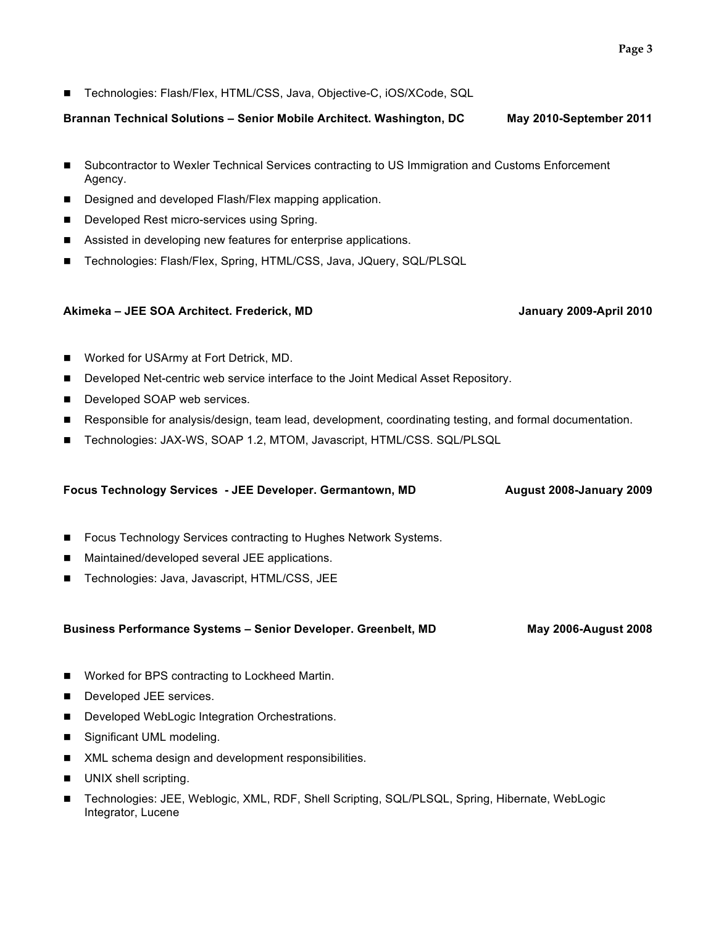! Technologies: Flash/Flex, HTML/CSS, Java, Objective-C, iOS/XCode, SQL

**Brannan Technical Solutions – Senior Mobile Architect. Washington, DC May 2010-September 2011**

- ! Subcontractor to Wexler Technical Services contracting to US Immigration and Customs Enforcement Agency.
- **Designed and developed Flash/Flex mapping application.**
- ! Developed Rest micro-services using Spring.
- Assisted in developing new features for enterprise applications.
- ! Technologies: Flash/Flex, Spring, HTML/CSS, Java, JQuery, SQL/PLSQL

#### **Akimeka – JEE SOA Architect. Frederick, MD January 2009-April 2010**

- ! Worked for USArmy at Fort Detrick, MD.
- ! Developed Net-centric web service interface to the Joint Medical Asset Repository.
- **Developed SOAP web services.**
- Responsible for analysis/design, team lead, development, coordinating testing, and formal documentation.
- ! Technologies: JAX-WS, SOAP 1.2, MTOM, Javascript, HTML/CSS. SQL/PLSQL

### **Focus Technology Services - JEE Developer. Germantown, MD August 2008-January 2009**

- ! Focus Technology Services contracting to Hughes Network Systems.
- ! Maintained/developed several JEE applications.
- **Technologies: Java, Javascript, HTML/CSS, JEE**

#### **Business Performance Systems – Senior Developer. Greenbelt, MD May 2006-August 2008**

- ! Worked for BPS contracting to Lockheed Martin.
- **Developed JEE services.**
- Developed WebLogic Integration Orchestrations.
- Significant UML modeling.
- **I** XML schema design and development responsibilities.
- UNIX shell scripting.
- ! Technologies: JEE, Weblogic, XML, RDF, Shell Scripting, SQL/PLSQL, Spring, Hibernate, WebLogic Integrator, Lucene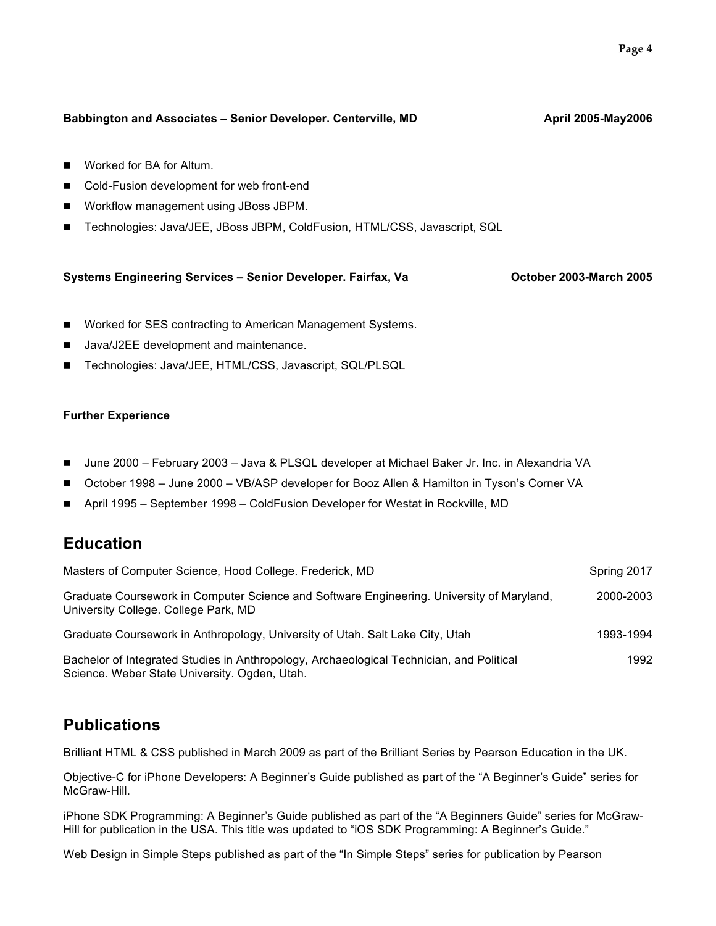# Worked for BA for Altum. ! Cold-Fusion development for web front-end ! Workflow management using JBoss JBPM. ! Technologies: Java/JEE, JBoss JBPM, ColdFusion, HTML/CSS, Javascript, SQL **Systems Engineering Services – Senior Developer. Fairfax, Va Corporation Corporation 2005**

Babbington and Associates – Senior Developer. Centerville, MD **Account Account April 2005-May2006** 

- Worked for SES contracting to American Management Systems.
- ! Java/J2EE development and maintenance.
- ! Technologies: Java/JEE, HTML/CSS, Javascript, SQL/PLSQL

### **Further Experience**

- ! June 2000 February 2003 Java & PLSQL developer at Michael Baker Jr. Inc. in Alexandria VA
- ! October 1998 June 2000 VB/ASP developer for Booz Allen & Hamilton in Tyson's Corner VA
- ! April 1995 September 1998 ColdFusion Developer for Westat in Rockville, MD

# **Education**

| Masters of Computer Science, Hood College. Frederick, MD                                                                                  | Spring 2017 |
|-------------------------------------------------------------------------------------------------------------------------------------------|-------------|
| Graduate Coursework in Computer Science and Software Engineering. University of Maryland,<br>University College. College Park, MD         | 2000-2003   |
| Graduate Coursework in Anthropology, University of Utah. Salt Lake City, Utah                                                             | 1993-1994   |
| Bachelor of Integrated Studies in Anthropology, Archaeological Technician, and Political<br>Science. Weber State University. Ogden, Utah. | 1992        |

# **Publications**

Brilliant HTML & CSS published in March 2009 as part of the Brilliant Series by Pearson Education in the UK.

Objective-C for iPhone Developers: A Beginner's Guide published as part of the "A Beginner's Guide" series for McGraw-Hill.

iPhone SDK Programming: A Beginner's Guide published as part of the "A Beginners Guide" series for McGraw-Hill for publication in the USA. This title was updated to "iOS SDK Programming: A Beginner's Guide."

Web Design in Simple Steps published as part of the "In Simple Steps" series for publication by Pearson